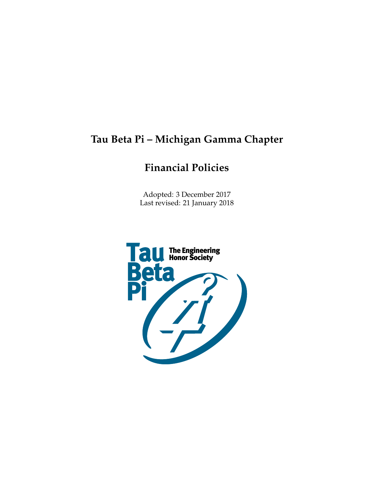# **Tau Beta Pi – Michigan Gamma Chapter**

# **Financial Policies**

Adopted: 3 December 2017 Last revised: 21 January 2018

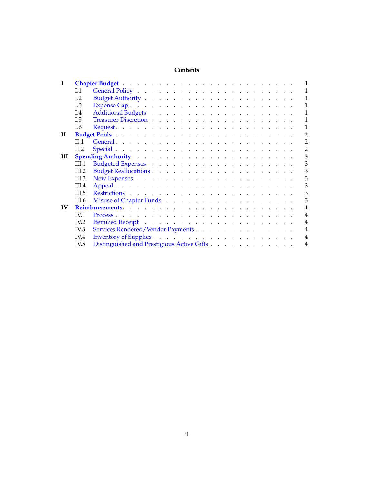## **Contents**

|              | I.1            |                                            | $\mathbf{1}$            |
|--------------|----------------|--------------------------------------------|-------------------------|
|              | L <sub>2</sub> |                                            | 1                       |
|              | L3             |                                            | 1                       |
|              | I.4            |                                            | 1                       |
|              | I.5            |                                            | 1                       |
|              | I.6            |                                            | $\mathbf{1}$            |
| $\mathbf{H}$ |                |                                            | $\overline{2}$          |
|              | II.1           |                                            | $\overline{2}$          |
|              | II.2           |                                            | 2                       |
| Ш            |                |                                            | 3                       |
|              | III.1          |                                            | 3                       |
|              | III.2          |                                            | 3                       |
|              | III.3          |                                            | 3                       |
|              | III.4          |                                            | 3                       |
|              | III.5          |                                            | 3                       |
|              | <b>III.6</b>   |                                            | 3                       |
| IV           |                |                                            | $\overline{\mathbf{4}}$ |
|              | <b>IV.1</b>    |                                            | $\overline{4}$          |
|              | IV.2           |                                            | $\overline{4}$          |
|              | IV.3           | Services Rendered/Vendor Payments.         | $\overline{4}$          |
|              | IV.4           |                                            | $\overline{4}$          |
|              | IV.5           | Distinguished and Prestigious Active Gifts | $\overline{4}$          |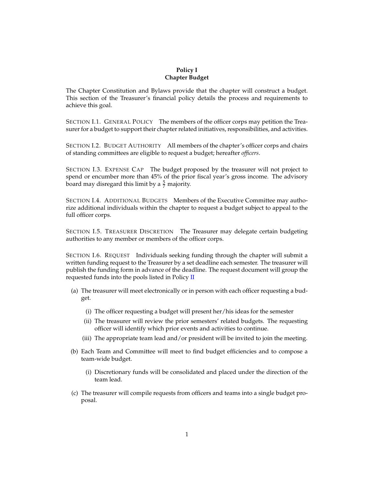#### **Policy I Chapter Budget**

<span id="page-2-0"></span>The Chapter Constitution and Bylaws provide that the chapter will construct a budget. This section of the Treasurer's financial policy details the process and requirements to achieve this goal.

<span id="page-2-1"></span>SECTION I.1. GENERAL POLICY The members of the officer corps may petition the Treasurer for a budget to support their chapter related initiatives, responsibilities, and activities.

<span id="page-2-2"></span>SECTION I.2. BUDGET AUTHORITY All members of the chapter's officer corps and chairs of standing committees are eligible to request a budget; hereafter *officers*.

<span id="page-2-3"></span>SECTION I.3. EXPENSE CAP The budget proposed by the treasurer will not project to spend or encumber more than 45% of the prior fiscal year's gross income. The advisory board may disregard this limit by a  $\frac{5}{7}$  majority.

<span id="page-2-4"></span>SECTION I.4. ADDITIONAL BUDGETS Members of the Executive Committee may authorize additional individuals within the chapter to request a budget subject to appeal to the full officer corps.

<span id="page-2-5"></span>SECTION I.5. TREASURER DISCRETION The Treasurer may delegate certain budgeting authorities to any member or members of the officer corps.

<span id="page-2-6"></span>SECTION I.6. REQUEST Individuals seeking funding through the chapter will submit a written funding request to the Treasurer by a set deadline each semester. The treasurer will publish the funding form in advance of the deadline. The request document will group the requested funds into the pools listed in Policy [II](#page-3-0)

- (a) The treasurer will meet electronically or in person with each officer requesting a budget.
	- (i) The officer requesting a budget will present her/his ideas for the semester
	- (ii) The treasurer will review the prior semesters' related budgets. The requesting officer will identify which prior events and activities to continue.
	- (iii) The appropriate team lead and/or president will be invited to join the meeting.
- (b) Each Team and Committee will meet to find budget efficiencies and to compose a team-wide budget.
	- (i) Discretionary funds will be consolidated and placed under the direction of the team lead.
- (c) The treasurer will compile requests from officers and teams into a single budget proposal.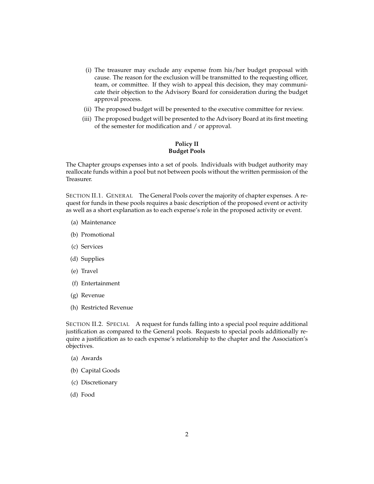- (i) The treasurer may exclude any expense from his/her budget proposal with cause. The reason for the exclusion will be transmitted to the requesting officer, team, or committee. If they wish to appeal this decision, they may communicate their objection to the Advisory Board for consideration during the budget approval process.
- (ii) The proposed budget will be presented to the executive committee for review.
- <span id="page-3-0"></span>(iii) The proposed budget will be presented to the Advisory Board at its first meeting of the semester for modification and / or approval.

### **Policy II Budget Pools**

The Chapter groups expenses into a set of pools. Individuals with budget authority may reallocate funds within a pool but not between pools without the written permission of the Treasurer.

<span id="page-3-1"></span>SECTION II.1. GENERAL The General Pools cover the majority of chapter expenses. A request for funds in these pools requires a basic description of the proposed event or activity as well as a short explanation as to each expense's role in the proposed activity or event.

- (a) Maintenance
- (b) Promotional
- (c) Services
- (d) Supplies
- (e) Travel
- (f) Entertainment
- (g) Revenue
- (h) Restricted Revenue

<span id="page-3-2"></span>SECTION II.2. SPECIAL A request for funds falling into a special pool require additional justification as compared to the General pools. Requests to special pools additionally require a justification as to each expense's relationship to the chapter and the Association's objectives.

- (a) Awards
- (b) Capital Goods
- (c) Discretionary
- <span id="page-3-3"></span>(d) Food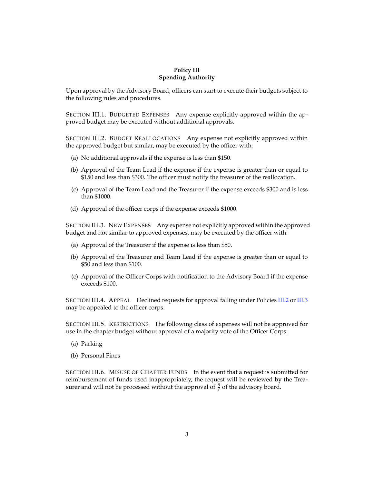### **Policy III Spending Authority**

Upon approval by the Advisory Board, officers can start to execute their budgets subject to the following rules and procedures.

<span id="page-4-0"></span>SECTION III.1. BUDGETED EXPENSES Any expense explicitly approved within the approved budget may be executed without additional approvals.

<span id="page-4-1"></span>SECTION III.2. BUDGET REALLOCATIONS Any expense not explicitly approved within the approved budget but similar, may be executed by the officer with:

- (a) No additional approvals if the expense is less than \$150.
- (b) Approval of the Team Lead if the expense if the expense is greater than or equal to \$150 and less than \$300. The officer must notify the treasurer of the reallocation.
- (c) Approval of the Team Lead and the Treasurer if the expense exceeds \$300 and is less than \$1000.
- (d) Approval of the officer corps if the expense exceeds \$1000.

<span id="page-4-2"></span>SECTION III.3. NEW EXPENSES Any expense not explicitly approved within the approved budget and not similar to approved expenses, may be executed by the officer with:

- (a) Approval of the Treasurer if the expense is less than \$50.
- (b) Approval of the Treasurer and Team Lead if the expense is greater than or equal to \$50 and less than \$100.
- (c) Approval of the Officer Corps with notification to the Advisory Board if the expense exceeds \$100.

<span id="page-4-3"></span>SECTION III.4. APPEAL Declined requests for approval falling under Policies [III.2](#page-4-1) or [III.3](#page-4-2) may be appealed to the officer corps.

<span id="page-4-4"></span>SECTION III.5. RESTRICTIONS The following class of expenses will not be approved for use in the chapter budget without approval of a majority vote of the Officer Corps.

- (a) Parking
- (b) Personal Fines

<span id="page-4-6"></span><span id="page-4-5"></span>SECTION III.6. MISUSE OF CHAPTER FUNDS In the event that a request is submitted for reimbursement of funds used inappropriately, the request will be reviewed by the Treasurer and will not be processed without the approval of  $\frac{5}{7}$  of the advisory board.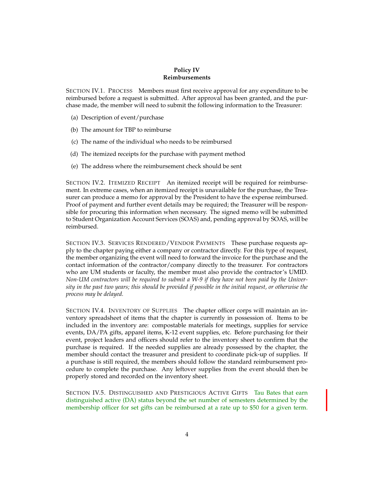#### **Policy IV Reimbursements**

<span id="page-5-0"></span>SECTION IV.1. PROCESS Members must first receive approval for any expenditure to be reimbursed before a request is submitted. After approval has been granted, and the purchase made, the member will need to submit the following information to the Treasurer:

- (a) Description of event/purchase
- (b) The amount for TBP to reimburse
- (c) The name of the individual who needs to be reimbursed
- (d) The itemized receipts for the purchase with payment method
- (e) The address where the reimbursement check should be sent

<span id="page-5-1"></span>SECTION IV.2. ITEMIZED RECEIPT An itemized receipt will be required for reimbursement. In extreme cases, when an itemized receipt is unavailable for the purchase, the Treasurer can produce a memo for approval by the President to have the expense reimbursed. Proof of payment and further event details may be required; the Treasurer will be responsible for procuring this information when necessary. The signed memo will be submitted to Student Organization Account Services (SOAS) and, pending approval by SOAS, will be reimbursed.

<span id="page-5-2"></span>SECTION IV.3. SERVICES RENDERED/VENDOR PAYMENTS These purchase requests apply to the chapter paying either a company or contractor directly. For this type of request, the member organizing the event will need to forward the invoice for the purchase and the contact information of the contractor/company directly to the treasurer. For contractors who are UM students or faculty, the member must also provide the contractor's UMID. *Non-UM contractors will be required to submit a W-9 if they have not been paid by the University in the past two years; this should be provided if possible in the initial request, or otherwise the process may be delayed.*

<span id="page-5-3"></span>SECTION IV.4. INVENTORY OF SUPPLIES The chapter officer corps will maintain an inventory spreadsheet of items that the chapter is currently in possession of. Items to be included in the inventory are: compostable materials for meetings, supplies for service events, DA/PA gifts, apparel items, K-12 event supplies, etc. Before purchasing for their event, project leaders and officers should refer to the inventory sheet to confirm that the purchase is required. If the needed supplies are already possessed by the chapter, the member should contact the treasurer and president to coordinate pick-up of supplies. If a purchase is still required, the members should follow the standard reimbursement procedure to complete the purchase. Any leftover supplies from the event should then be properly stored and recorded on the inventory sheet.

<span id="page-5-4"></span>SECTION IV.5. DISTINGUISHED AND PRESTIGIOUS ACTIVE GIFTS Tau Bates that earn distinguished active (DA) status beyond the set number of semesters determined by the membership officer for set gifts can be reimbursed at a rate up to \$50 for a given term.